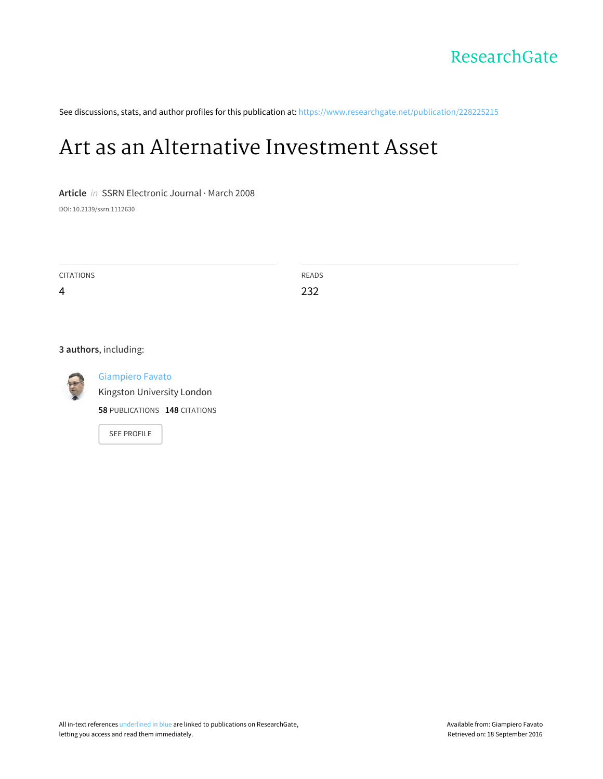

See discussions, stats, and author profiles for this publication at: [https://www.researchgate.net/publication/228225215](https://www.researchgate.net/publication/228225215_Art_as_an_Alternative_Investment_Asset?enrichId=rgreq-1e577973cba7411db461a52d781d6654-XXX&enrichSource=Y292ZXJQYWdlOzIyODIyNTIxNTtBUzoxMDE3OTIyMTgwOTE1MjJAMTQwMTI4MDU2NDMzMQ%3D%3D&el=1_x_2)

# Art as an Alternative [Investment](https://www.researchgate.net/publication/228225215_Art_as_an_Alternative_Investment_Asset?enrichId=rgreq-1e577973cba7411db461a52d781d6654-XXX&enrichSource=Y292ZXJQYWdlOzIyODIyNTIxNTtBUzoxMDE3OTIyMTgwOTE1MjJAMTQwMTI4MDU2NDMzMQ%3D%3D&el=1_x_3) Asset

**Article** in SSRN Electronic Journal · March 2008 DOI: 10.2139/ssrn.1112630

| CITATIONS | <b>READS</b> |
|-----------|--------------|
| 4         | าาา<br>∼     |

#### **3 authors**, including:



[Giampiero](https://www.researchgate.net/profile/Giampiero_Favato?enrichId=rgreq-1e577973cba7411db461a52d781d6654-XXX&enrichSource=Y292ZXJQYWdlOzIyODIyNTIxNTtBUzoxMDE3OTIyMTgwOTE1MjJAMTQwMTI4MDU2NDMzMQ%3D%3D&el=1_x_5) Favato Kingston [University](https://www.researchgate.net/institution/Kingston_University_London?enrichId=rgreq-1e577973cba7411db461a52d781d6654-XXX&enrichSource=Y292ZXJQYWdlOzIyODIyNTIxNTtBUzoxMDE3OTIyMTgwOTE1MjJAMTQwMTI4MDU2NDMzMQ%3D%3D&el=1_x_6) London

**58** PUBLICATIONS **148** CITATIONS

SEE [PROFILE](https://www.researchgate.net/profile/Giampiero_Favato?enrichId=rgreq-1e577973cba7411db461a52d781d6654-XXX&enrichSource=Y292ZXJQYWdlOzIyODIyNTIxNTtBUzoxMDE3OTIyMTgwOTE1MjJAMTQwMTI4MDU2NDMzMQ%3D%3D&el=1_x_7)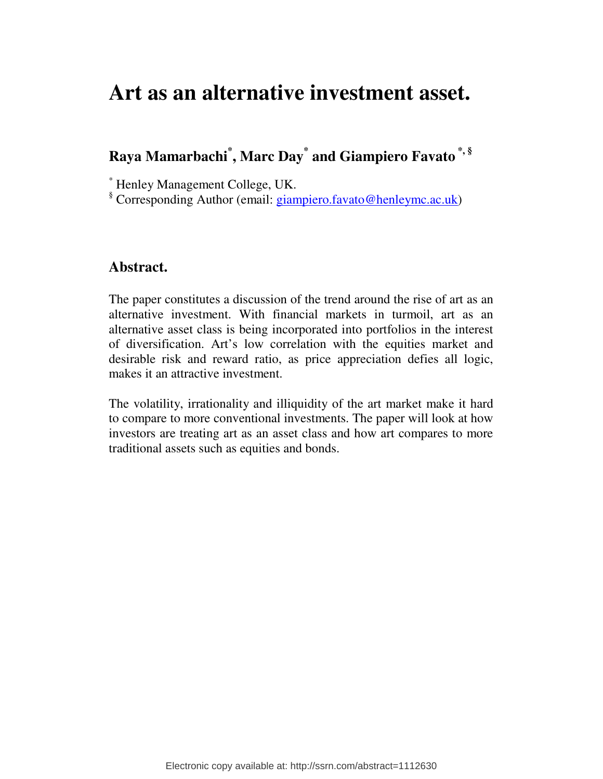## **Art as an alternative investment asset.**

**Raya Mamarbachi\* , Marc Day\* and Giampiero Favato \*, §** 

\* Henley Management College, UK.

§ Corresponding Author (email: giampiero.favato@henleymc.ac.uk)

#### **Abstract.**

The paper constitutes a discussion of the trend around the rise of art as an alternative investment. With financial markets in turmoil, art as an alternative asset class is being incorporated into portfolios in the interest of diversification. Art's low correlation with the equities market and desirable risk and reward ratio, as price appreciation defies all logic, makes it an attractive investment.

The volatility, irrationality and illiquidity of the art market make it hard to compare to more conventional investments. The paper will look at how investors are treating art as an asset class and how art compares to more traditional assets such as equities and bonds.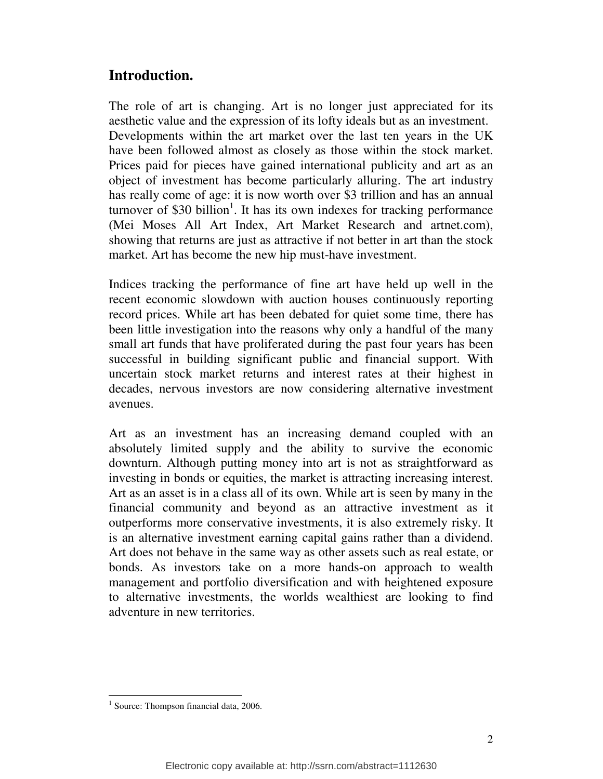#### **Introduction.**

The role of art is changing. Art is no longer just appreciated for its aesthetic value and the expression of its lofty ideals but as an investment. Developments within the art market over the last ten years in the UK have been followed almost as closely as those within the stock market. Prices paid for pieces have gained international publicity and art as an object of investment has become particularly alluring. The art industry has really come of age: it is now worth over \$3 trillion and has an annual turnover of \$30 billion<sup>1</sup>. It has its own indexes for tracking performance (Mei Moses All Art Index, Art Market Research and artnet.com), showing that returns are just as attractive if not better in art than the stock market. Art has become the new hip must-have investment.

Indices tracking the performance of fine art have held up well in the recent economic slowdown with auction houses continuously reporting record prices. While art has been debated for quiet some time, there has been little investigation into the reasons why only a handful of the many small art funds that have proliferated during the past four years has been successful in building significant public and financial support. With uncertain stock market returns and interest rates at their highest in decades, nervous investors are now considering alternative investment avenues.

Art as an investment has an increasing demand coupled with an absolutely limited supply and the ability to survive the economic downturn. Although putting money into art is not as straightforward as investing in bonds or equities, the market is attracting increasing interest. Art as an asset is in a class all of its own. While art is seen by many in the financial community and beyond as an attractive investment as it outperforms more conservative investments, it is also extremely risky. It is an alternative investment earning capital gains rather than a dividend. Art does not behave in the same way as other assets such as real estate, or bonds. As investors take on a more hands-on approach to wealth management and portfolio diversification and with heightened exposure to alternative investments, the worlds wealthiest are looking to find adventure in new territories.

-

<sup>&</sup>lt;sup>1</sup> Source: Thompson financial data, 2006.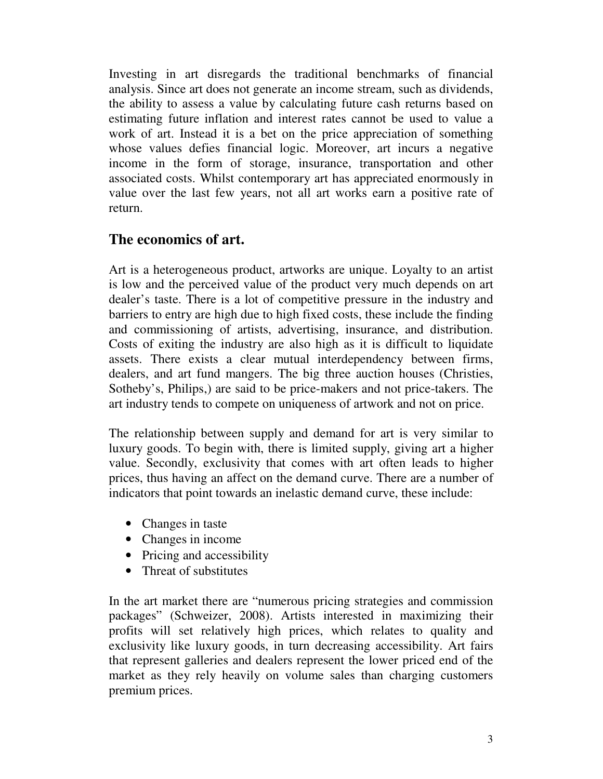Investing in art disregards the traditional benchmarks of financial analysis. Since art does not generate an income stream, such as dividends, the ability to assess a value by calculating future cash returns based on estimating future inflation and interest rates cannot be used to value a work of art. Instead it is a bet on the price appreciation of something whose values defies financial logic. Moreover, art incurs a negative income in the form of storage, insurance, transportation and other associated costs. Whilst contemporary art has appreciated enormously in value over the last few years, not all art works earn a positive rate of return.

#### **The economics of art.**

Art is a heterogeneous product, artworks are unique. Loyalty to an artist is low and the perceived value of the product very much depends on art dealer's taste. There is a lot of competitive pressure in the industry and barriers to entry are high due to high fixed costs, these include the finding and commissioning of artists, advertising, insurance, and distribution. Costs of exiting the industry are also high as it is difficult to liquidate assets. There exists a clear mutual interdependency between firms, dealers, and art fund mangers. The big three auction houses (Christies, Sotheby's, Philips,) are said to be price-makers and not price-takers. The art industry tends to compete on uniqueness of artwork and not on price.

The relationship between supply and demand for art is very similar to luxury goods. To begin with, there is limited supply, giving art a higher value. Secondly, exclusivity that comes with art often leads to higher prices, thus having an affect on the demand curve. There are a number of indicators that point towards an inelastic demand curve, these include:

- Changes in taste
- Changes in income
- Pricing and accessibility
- Threat of substitutes

In the art market there are "numerous pricing strategies and commission packages" (Schweizer, 2008). Artists interested in maximizing their profits will set relatively high prices, which relates to quality and exclusivity like luxury goods, in turn decreasing accessibility. Art fairs that represent galleries and dealers represent the lower priced end of the market as they rely heavily on volume sales than charging customers premium prices.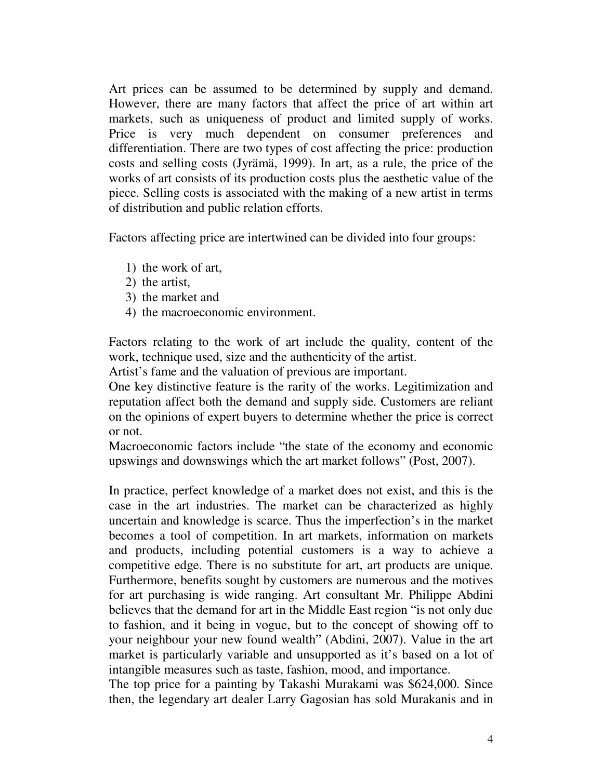Art prices can be assumed to be determined by supply and demand. However, there are many factors that affect the price of art within art markets, such as uniqueness of product and limited supply of works. Price is very much dependent on consumer preferences and differentiation. There are two types of cost affecting the price: production costs and selling costs (Jyrämä, 1999). In art, as a rule, the price of the works of art consists of its production costs plus the aesthetic value of the piece. Selling costs is associated with the making of a new artist in terms of distribution and public relation efforts.

Factors affecting price are intertwined can be divided into four groups:

- 1) the work of art,
- 2) the artist,
- 3) the market and
- 4) the macroeconomic environment.

Factors relating to the work of art include the quality, content of the work, technique used, size and the authenticity of the artist.

Artist's fame and the valuation of previous are important.

One key distinctive feature is the rarity of the works. Legitimization and reputation affect both the demand and supply side. Customers are reliant on the opinions of expert buyers to determine whether the price is correct or not.

Macroeconomic factors include "the state of the economy and economic upswings and downswings which the art market follows" (Post, 2007).

In practice, perfect knowledge of a market does not exist, and this is the case in the art industries. The market can be characterized as highly uncertain and knowledge is scarce. Thus the imperfection's in the market becomes a tool of competition. In art markets, information on markets and products, including potential customers is a way to achieve a competitive edge. There is no substitute for art, art products are unique. Furthermore, benefits sought by customers are numerous and the motives for art purchasing is wide ranging. Art consultant Mr. Philippe Abdini believes that the demand for art in the Middle East region "is not only due to fashion, and it being in vogue, but to the concept of showing off to your neighbour your new found wealth" (Abdini, 2007). Value in the art market is particularly variable and unsupported as it's based on a lot of intangible measures such as taste, fashion, mood, and importance.

The top price for a painting by Takashi Murakami was \$624,000. Since then, the legendary art dealer Larry Gagosian has sold Murakanis and in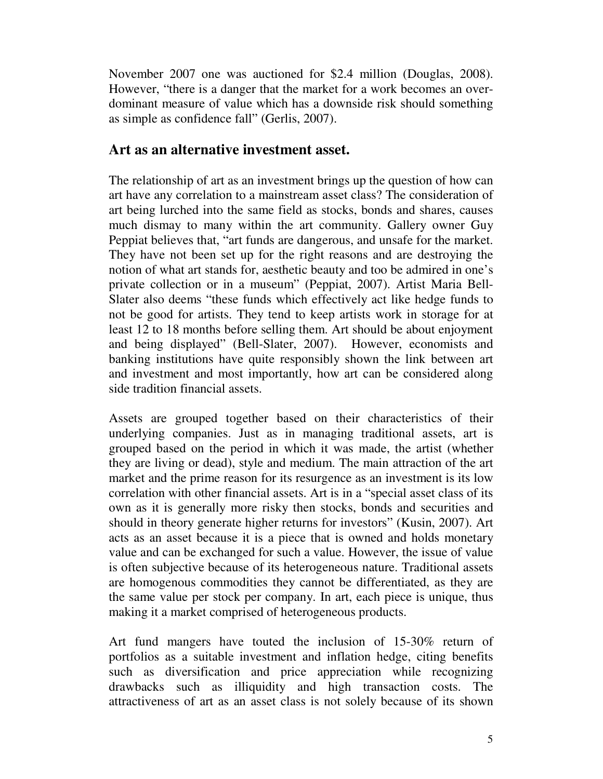November 2007 one was auctioned for \$2.4 million (Douglas, 2008). However, "there is a danger that the market for a work becomes an overdominant measure of value which has a downside risk should something as simple as confidence fall" (Gerlis, 2007).

#### **Art as an alternative investment asset.**

The relationship of art as an investment brings up the question of how can art have any correlation to a mainstream asset class? The consideration of art being lurched into the same field as stocks, bonds and shares, causes much dismay to many within the art community. Gallery owner Guy Peppiat believes that, "art funds are dangerous, and unsafe for the market. They have not been set up for the right reasons and are destroying the notion of what art stands for, aesthetic beauty and too be admired in one's private collection or in a museum" (Peppiat, 2007). Artist Maria Bell-Slater also deems "these funds which effectively act like hedge funds to not be good for artists. They tend to keep artists work in storage for at least 12 to 18 months before selling them. Art should be about enjoyment and being displayed" (Bell-Slater, 2007). However, economists and banking institutions have quite responsibly shown the link between art and investment and most importantly, how art can be considered along side tradition financial assets.

Assets are grouped together based on their characteristics of their underlying companies. Just as in managing traditional assets, art is grouped based on the period in which it was made, the artist (whether they are living or dead), style and medium. The main attraction of the art market and the prime reason for its resurgence as an investment is its low correlation with other financial assets. Art is in a "special asset class of its own as it is generally more risky then stocks, bonds and securities and should in theory generate higher returns for investors" (Kusin, 2007). Art acts as an asset because it is a piece that is owned and holds monetary value and can be exchanged for such a value. However, the issue of value is often subjective because of its heterogeneous nature. Traditional assets are homogenous commodities they cannot be differentiated, as they are the same value per stock per company. In art, each piece is unique, thus making it a market comprised of heterogeneous products.

Art fund mangers have touted the inclusion of 15-30% return of portfolios as a suitable investment and inflation hedge, citing benefits such as diversification and price appreciation while recognizing drawbacks such as illiquidity and high transaction costs. The attractiveness of art as an asset class is not solely because of its shown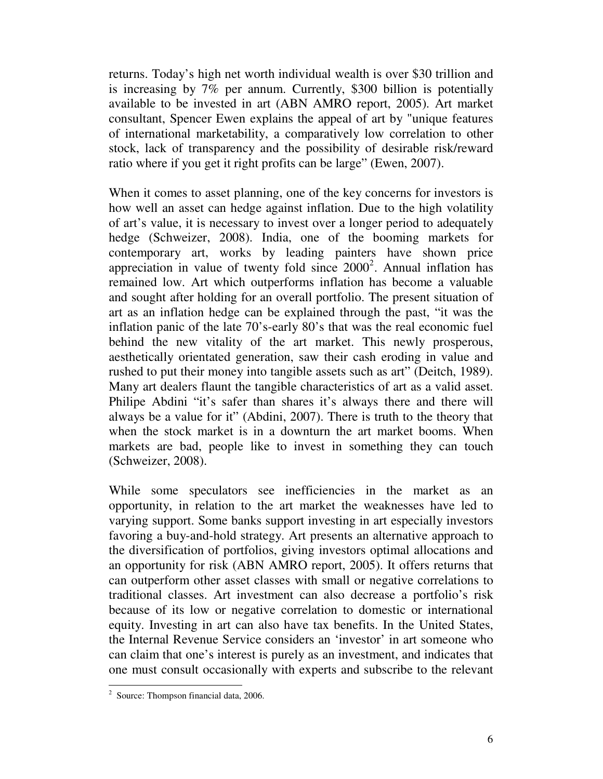returns. Today's high net worth individual wealth is over \$30 trillion and is increasing by 7% per annum. Currently, \$300 billion is potentially available to be invested in art (ABN AMRO report, 2005). Art market consultant, Spencer Ewen explains the appeal of art by "unique features of international marketability, a comparatively low correlation to other stock, lack of transparency and the possibility of desirable risk/reward ratio where if you get it right profits can be large" (Ewen, 2007).

When it comes to asset planning, one of the key concerns for investors is how well an asset can hedge against inflation. Due to the high volatility of art's value, it is necessary to invest over a longer period to adequately hedge (Schweizer, 2008). India, one of the booming markets for contemporary art, works by leading painters have shown price appreciation in value of twenty fold since  $2000^2$ . Annual inflation has remained low. Art which outperforms inflation has become a valuable and sought after holding for an overall portfolio. The present situation of art as an inflation hedge can be explained through the past, "it was the inflation panic of the late 70's-early 80's that was the real economic fuel behind the new vitality of the art market. This newly prosperous, aesthetically orientated generation, saw their cash eroding in value and rushed to put their money into tangible assets such as art" (Deitch, 1989). Many art dealers flaunt the tangible characteristics of art as a valid asset. Philipe Abdini "it's safer than shares it's always there and there will always be a value for it" (Abdini, 2007). There is truth to the theory that when the stock market is in a downturn the art market booms. When markets are bad, people like to invest in something they can touch (Schweizer, 2008).

While some speculators see inefficiencies in the market as an opportunity, in relation to the art market the weaknesses have led to varying support. Some banks support investing in art especially investors favoring a buy-and-hold strategy. Art presents an alternative approach to the diversification of portfolios, giving investors optimal allocations and an opportunity for risk (ABN AMRO report, 2005). It offers returns that can outperform other asset classes with small or negative correlations to traditional classes. Art investment can also decrease a portfolio's risk because of its low or negative correlation to domestic or international equity. Investing in art can also have tax benefits. In the United States, the Internal Revenue Service considers an 'investor' in art someone who can claim that one's interest is purely as an investment, and indicates that one must consult occasionally with experts and subscribe to the relevant

 2 Source: Thompson financial data, 2006.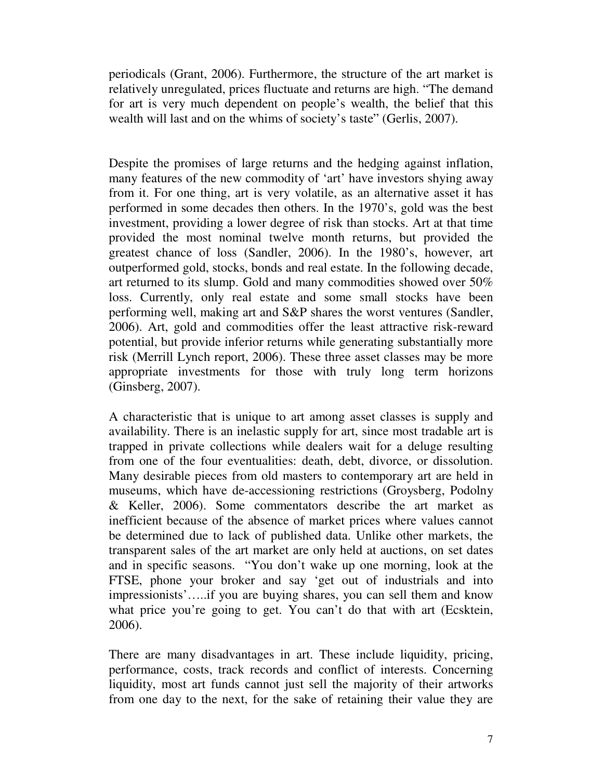periodicals (Grant, 2006). Furthermore, the structure of the art market is relatively unregulated, prices fluctuate and returns are high. "The demand for art is very much dependent on people's wealth, the belief that this wealth will last and on the whims of society's taste" (Gerlis, 2007).

Despite the promises of large returns and the hedging against inflation, many features of the new commodity of 'art' have investors shying away from it. For one thing, art is very volatile, as an alternative asset it has performed in some decades then others. In the 1970's, gold was the best investment, providing a lower degree of risk than stocks. Art at that time provided the most nominal twelve month returns, but provided the greatest chance of loss (Sandler, 2006). In the 1980's, however, art outperformed gold, stocks, bonds and real estate. In the following decade, art returned to its slump. Gold and many commodities showed over 50% loss. Currently, only real estate and some small stocks have been performing well, making art and S&P shares the worst ventures (Sandler, 2006). Art, gold and commodities offer the least attractive risk-reward potential, but provide inferior returns while generating substantially more risk (Merrill Lynch report, 2006). These three asset classes may be more appropriate investments for those with truly long term horizons (Ginsberg, 2007).

A characteristic that is unique to art among asset classes is supply and availability. There is an inelastic supply for art, since most tradable art is trapped in private collections while dealers wait for a deluge resulting from one of the four eventualities: death, debt, divorce, or dissolution. Many desirable pieces from old masters to contemporary art are held in museums, which have de-accessioning restrictions (Groysberg, Podolny & Keller, 2006). Some commentators describe the art market as inefficient because of the absence of market prices where values cannot be determined due to lack of published data. Unlike other markets, the transparent sales of the art market are only held at auctions, on set dates and in specific seasons. "You don't wake up one morning, look at the FTSE, phone your broker and say 'get out of industrials and into impressionists'…..if you are buying shares, you can sell them and know what price you're going to get. You can't do that with art (Ecsktein, 2006).

There are many disadvantages in art. These include liquidity, pricing, performance, costs, track records and conflict of interests. Concerning liquidity, most art funds cannot just sell the majority of their artworks from one day to the next, for the sake of retaining their value they are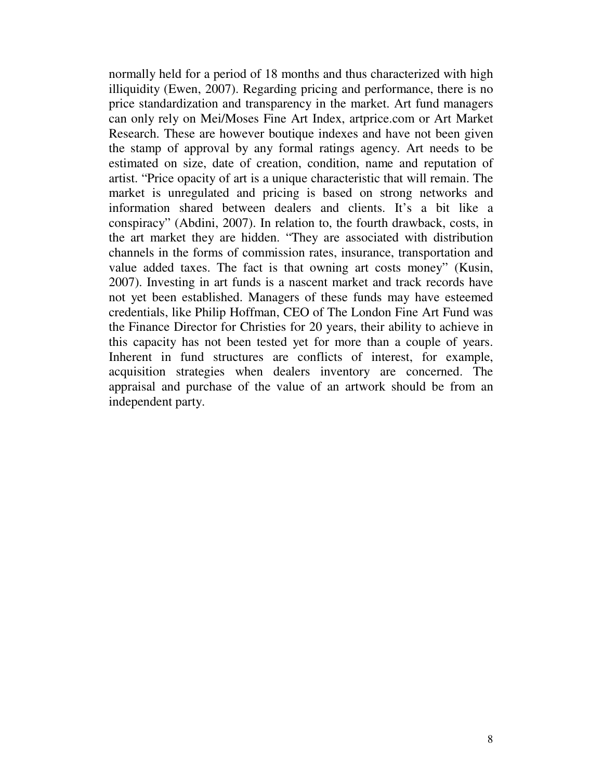normally held for a period of 18 months and thus characterized with high illiquidity (Ewen, 2007). Regarding pricing and performance, there is no price standardization and transparency in the market. Art fund managers can only rely on Mei/Moses Fine Art Index, artprice.com or Art Market Research. These are however boutique indexes and have not been given the stamp of approval by any formal ratings agency. Art needs to be estimated on size, date of creation, condition, name and reputation of artist. "Price opacity of art is a unique characteristic that will remain. The market is unregulated and pricing is based on strong networks and information shared between dealers and clients. It's a bit like a conspiracy" (Abdini, 2007). In relation to, the fourth drawback, costs, in the art market they are hidden. "They are associated with distribution channels in the forms of commission rates, insurance, transportation and value added taxes. The fact is that owning art costs money" (Kusin, 2007). Investing in art funds is a nascent market and track records have not yet been established. Managers of these funds may have esteemed credentials, like Philip Hoffman, CEO of The London Fine Art Fund was the Finance Director for Christies for 20 years, their ability to achieve in this capacity has not been tested yet for more than a couple of years. Inherent in fund structures are conflicts of interest, for example, acquisition strategies when dealers inventory are concerned. The appraisal and purchase of the value of an artwork should be from an independent party.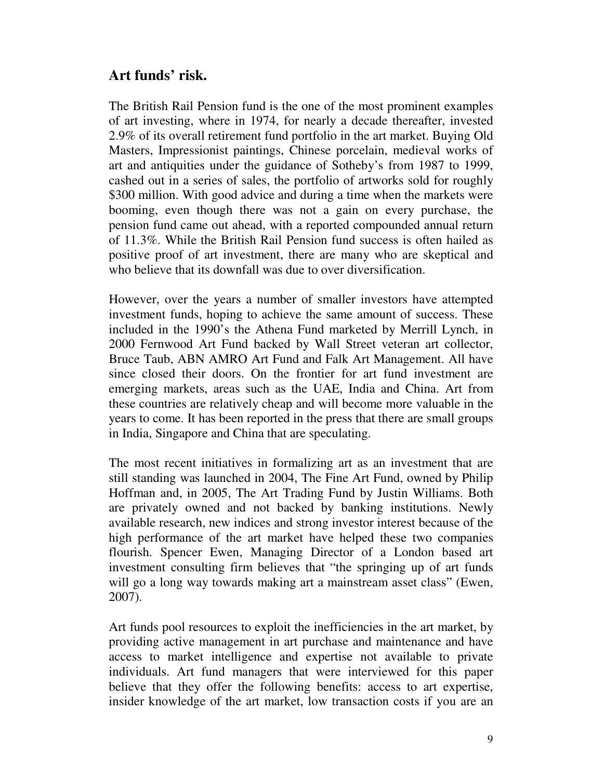#### **Art funds' risk.**

The British Rail Pension fund is the one of the most prominent examples of art investing, where in 1974, for nearly a decade thereafter, invested 2.9% of its overall retirement fund portfolio in the art market. Buying Old Masters, Impressionist paintings, Chinese porcelain, medieval works of art and antiquities under the guidance of Sotheby's from 1987 to 1999, cashed out in a series of sales, the portfolio of artworks sold for roughly \$300 million. With good advice and during a time when the markets were booming, even though there was not a gain on every purchase, the pension fund came out ahead, with a reported compounded annual return of 11.3%. While the British Rail Pension fund success is often hailed as positive proof of art investment, there are many who are skeptical and who believe that its downfall was due to over diversification.

However, over the years a number of smaller investors have attempted investment funds, hoping to achieve the same amount of success. These included in the 1990's the Athena Fund marketed by Merrill Lynch, in 2000 Fernwood Art Fund backed by Wall Street veteran art collector, Bruce Taub, ABN AMRO Art Fund and Falk Art Management. All have since closed their doors. On the frontier for art fund investment are emerging markets, areas such as the UAE, India and China. Art from these countries are relatively cheap and will become more valuable in the years to come. It has been reported in the press that there are small groups in India, Singapore and China that are speculating.

The most recent initiatives in formalizing art as an investment that are still standing was launched in 2004, The Fine Art Fund, owned by Philip Hoffman and, in 2005, The Art Trading Fund by Justin Williams. Both are privately owned and not backed by banking institutions. Newly available research, new indices and strong investor interest because of the high performance of the art market have helped these two companies flourish. Spencer Ewen, Managing Director of a London based art investment consulting firm believes that "the springing up of art funds will go a long way towards making art a mainstream asset class" (Ewen, 2007).

Art funds pool resources to exploit the inefficiencies in the art market, by providing active management in art purchase and maintenance and have access to market intelligence and expertise not available to private individuals. Art fund managers that were interviewed for this paper believe that they offer the following benefits: access to art expertise, insider knowledge of the art market, low transaction costs if you are an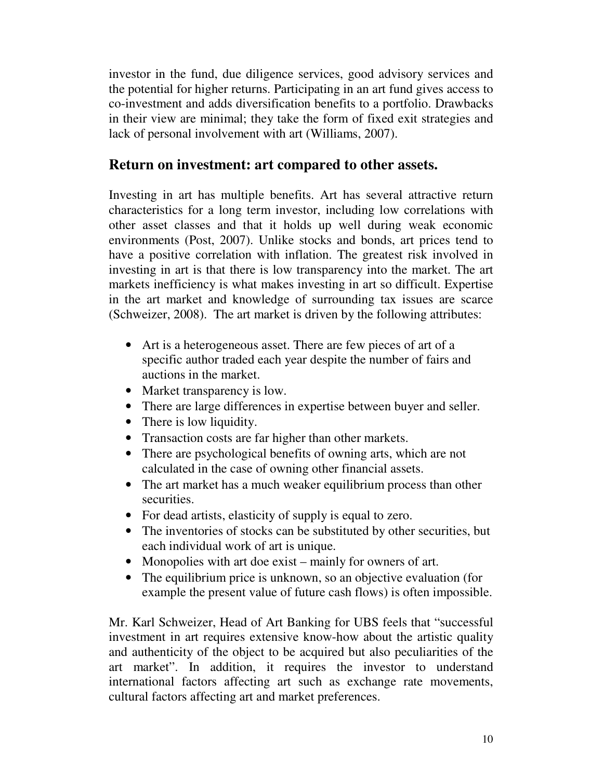investor in the fund, due diligence services, good advisory services and the potential for higher returns. Participating in an art fund gives access to co-investment and adds diversification benefits to a portfolio. Drawbacks in their view are minimal; they take the form of fixed exit strategies and lack of personal involvement with art (Williams, 2007).

#### **Return on investment: art compared to other assets.**

Investing in art has multiple benefits. Art has several attractive return characteristics for a long term investor, including low correlations with other asset classes and that it holds up well during weak economic environments (Post, 2007). Unlike stocks and bonds, art prices tend to have a positive correlation with inflation. The greatest risk involved in investing in art is that there is low transparency into the market. The art markets inefficiency is what makes investing in art so difficult. Expertise in the art market and knowledge of surrounding tax issues are scarce (Schweizer, 2008). The art market is driven by the following attributes:

- Art is a heterogeneous asset. There are few pieces of art of a specific author traded each year despite the number of fairs and auctions in the market.
- Market transparency is low.
- There are large differences in expertise between buyer and seller.
- There is low liquidity.
- Transaction costs are far higher than other markets.
- There are psychological benefits of owning arts, which are not calculated in the case of owning other financial assets.
- The art market has a much weaker equilibrium process than other securities.
- For dead artists, elasticity of supply is equal to zero.
- The inventories of stocks can be substituted by other securities, but each individual work of art is unique.
- Monopolies with art doe exist mainly for owners of art.
- The equilibrium price is unknown, so an objective evaluation (for example the present value of future cash flows) is often impossible.

Mr. Karl Schweizer, Head of Art Banking for UBS feels that "successful investment in art requires extensive know-how about the artistic quality and authenticity of the object to be acquired but also peculiarities of the art market". In addition, it requires the investor to understand international factors affecting art such as exchange rate movements, cultural factors affecting art and market preferences.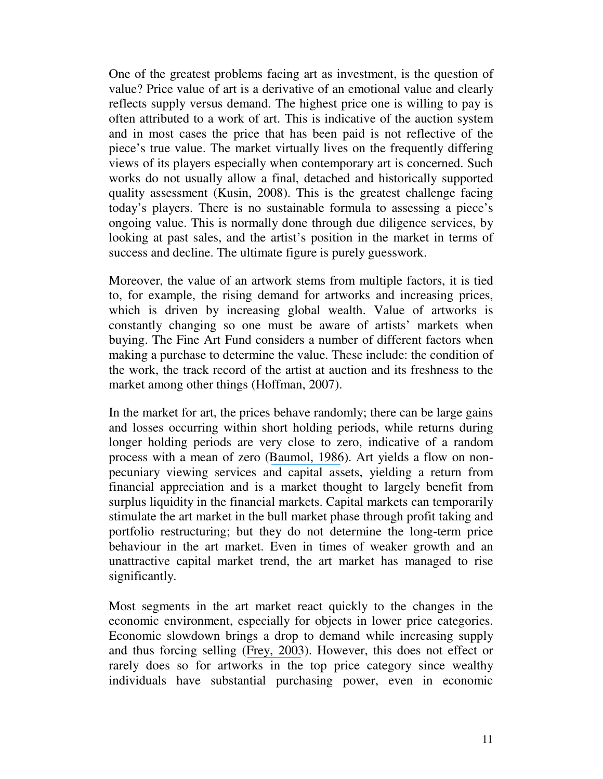One of the greatest problems facing art as investment, is the question of value? Price value of art is a derivative of an emotional value and clearly reflects supply versus demand. The highest price one is willing to pay is often attributed to a work of art. This is indicative of the auction system and in most cases the price that has been paid is not reflective of the piece's true value. The market virtually lives on the frequently differing views of its players especially when contemporary art is concerned. Such works do not usually allow a final, detached and historically supported quality assessment (Kusin, 2008). This is the greatest challenge facing today's players. There is no sustainable formula to assessing a piece's ongoing value. This is normally done through due diligence services, by looking at past sales, and the artist's position in the market in terms of success and decline. The ultimate figure is purely guesswork.

Moreover, the value of an artwork stems from multiple factors, it is tied to, for example, the rising demand for artworks and increasing prices, which is driven by increasing global wealth. Value of artworks is constantly changing so one must be aware of artists' markets when buying. The Fine Art Fund considers a number of different factors when making a purchase to determine the value. These include: the condition of the work, the track record of the artist at auction and its freshness to the market among other things (Hoffman, 2007).

In the market for art, the prices behave randomly; there can be large gains and losses occurring within short holding periods, while returns during longer holding periods are very close to zero, indicative of a random process with a mean of zero ([Baumol, 1986](https://www.researchgate.net/publication/4720497_Unnatural_Value_Or_Art_Investment_as_Floating_Crap_Game?el=1_x_8&enrichId=rgreq-1e577973cba7411db461a52d781d6654-XXX&enrichSource=Y292ZXJQYWdlOzIyODIyNTIxNTtBUzoxMDE3OTIyMTgwOTE1MjJAMTQwMTI4MDU2NDMzMQ==)). Art yields a flow on nonpecuniary viewing services and capital assets, yielding a return from financial appreciation and is a market thought to largely benefit from surplus liquidity in the financial markets. Capital markets can temporarily stimulate the art market in the bull market phase through profit taking and portfolio restructuring; but they do not determine the long-term price behaviour in the art market. Even in times of weaker growth and an unattractive capital market trend, the art market has managed to rise significantly.

Most segments in the art market react quickly to the changes in the economic environment, especially for objects in lower price categories. Economic slowdown brings a drop to demand while increasing supply and thus forcing selling ([Frey, 2003](https://www.researchgate.net/publication/262865284_Art_Markets_and_Economics_Introduction?el=1_x_8&enrichId=rgreq-1e577973cba7411db461a52d781d6654-XXX&enrichSource=Y292ZXJQYWdlOzIyODIyNTIxNTtBUzoxMDE3OTIyMTgwOTE1MjJAMTQwMTI4MDU2NDMzMQ==)). However, this does not effect or rarely does so for artworks in the top price category since wealthy individuals have substantial purchasing power, even in economic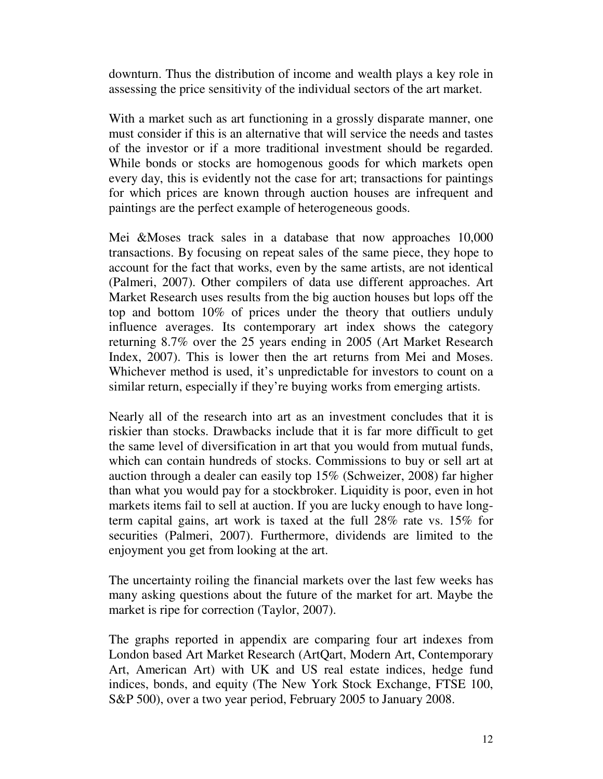downturn. Thus the distribution of income and wealth plays a key role in assessing the price sensitivity of the individual sectors of the art market.

With a market such as art functioning in a grossly disparate manner, one must consider if this is an alternative that will service the needs and tastes of the investor or if a more traditional investment should be regarded. While bonds or stocks are homogenous goods for which markets open every day, this is evidently not the case for art; transactions for paintings for which prices are known through auction houses are infrequent and paintings are the perfect example of heterogeneous goods.

Mei &Moses track sales in a database that now approaches 10,000 transactions. By focusing on repeat sales of the same piece, they hope to account for the fact that works, even by the same artists, are not identical (Palmeri, 2007). Other compilers of data use different approaches. Art Market Research uses results from the big auction houses but lops off the top and bottom 10% of prices under the theory that outliers unduly influence averages. Its contemporary art index shows the category returning 8.7% over the 25 years ending in 2005 (Art Market Research Index, 2007). This is lower then the art returns from Mei and Moses. Whichever method is used, it's unpredictable for investors to count on a similar return, especially if they're buying works from emerging artists.

Nearly all of the research into art as an investment concludes that it is riskier than stocks. Drawbacks include that it is far more difficult to get the same level of diversification in art that you would from mutual funds, which can contain hundreds of stocks. Commissions to buy or sell art at auction through a dealer can easily top 15% (Schweizer, 2008) far higher than what you would pay for a stockbroker. Liquidity is poor, even in hot markets items fail to sell at auction. If you are lucky enough to have longterm capital gains, art work is taxed at the full 28% rate vs. 15% for securities (Palmeri, 2007). Furthermore, dividends are limited to the enjoyment you get from looking at the art.

The uncertainty roiling the financial markets over the last few weeks has many asking questions about the future of the market for art. Maybe the market is ripe for correction (Taylor, 2007).

The graphs reported in appendix are comparing four art indexes from London based Art Market Research (ArtQart, Modern Art, Contemporary Art, American Art) with UK and US real estate indices, hedge fund indices, bonds, and equity (The New York Stock Exchange, FTSE 100, S&P 500), over a two year period, February 2005 to January 2008.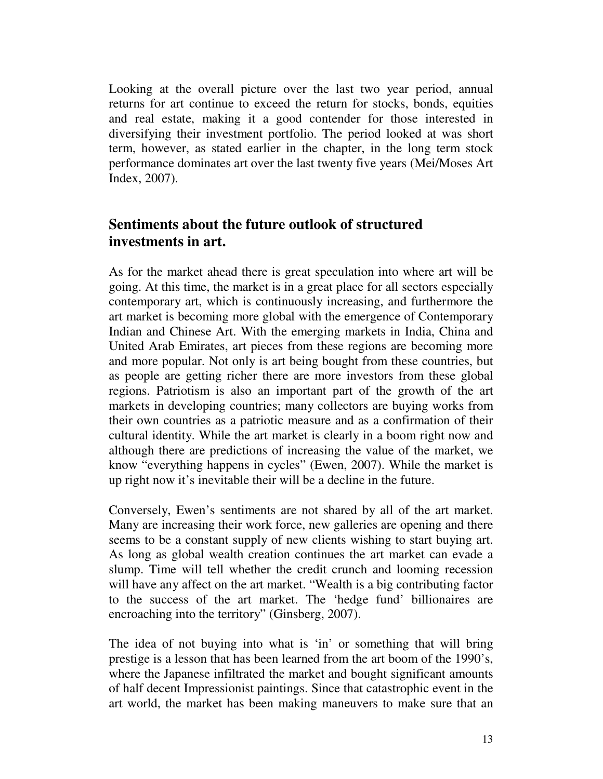Looking at the overall picture over the last two year period, annual returns for art continue to exceed the return for stocks, bonds, equities and real estate, making it a good contender for those interested in diversifying their investment portfolio. The period looked at was short term, however, as stated earlier in the chapter, in the long term stock performance dominates art over the last twenty five years (Mei/Moses Art Index, 2007).

#### **Sentiments about the future outlook of structured investments in art.**

As for the market ahead there is great speculation into where art will be going. At this time, the market is in a great place for all sectors especially contemporary art, which is continuously increasing, and furthermore the art market is becoming more global with the emergence of Contemporary Indian and Chinese Art. With the emerging markets in India, China and United Arab Emirates, art pieces from these regions are becoming more and more popular. Not only is art being bought from these countries, but as people are getting richer there are more investors from these global regions. Patriotism is also an important part of the growth of the art markets in developing countries; many collectors are buying works from their own countries as a patriotic measure and as a confirmation of their cultural identity. While the art market is clearly in a boom right now and although there are predictions of increasing the value of the market, we know "everything happens in cycles" (Ewen, 2007). While the market is up right now it's inevitable their will be a decline in the future.

Conversely, Ewen's sentiments are not shared by all of the art market. Many are increasing their work force, new galleries are opening and there seems to be a constant supply of new clients wishing to start buying art. As long as global wealth creation continues the art market can evade a slump. Time will tell whether the credit crunch and looming recession will have any affect on the art market. "Wealth is a big contributing factor to the success of the art market. The 'hedge fund' billionaires are encroaching into the territory" (Ginsberg, 2007).

The idea of not buying into what is 'in' or something that will bring prestige is a lesson that has been learned from the art boom of the 1990's, where the Japanese infiltrated the market and bought significant amounts of half decent Impressionist paintings. Since that catastrophic event in the art world, the market has been making maneuvers to make sure that an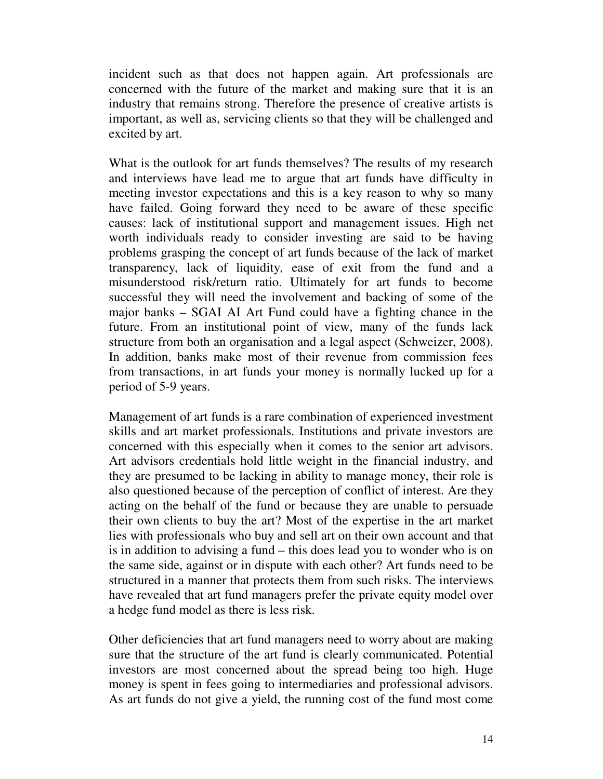incident such as that does not happen again. Art professionals are concerned with the future of the market and making sure that it is an industry that remains strong. Therefore the presence of creative artists is important, as well as, servicing clients so that they will be challenged and excited by art.

What is the outlook for art funds themselves? The results of my research and interviews have lead me to argue that art funds have difficulty in meeting investor expectations and this is a key reason to why so many have failed. Going forward they need to be aware of these specific causes: lack of institutional support and management issues. High net worth individuals ready to consider investing are said to be having problems grasping the concept of art funds because of the lack of market transparency, lack of liquidity, ease of exit from the fund and a misunderstood risk/return ratio. Ultimately for art funds to become successful they will need the involvement and backing of some of the major banks – SGAI AI Art Fund could have a fighting chance in the future. From an institutional point of view, many of the funds lack structure from both an organisation and a legal aspect (Schweizer, 2008). In addition, banks make most of their revenue from commission fees from transactions, in art funds your money is normally lucked up for a period of 5-9 years.

Management of art funds is a rare combination of experienced investment skills and art market professionals. Institutions and private investors are concerned with this especially when it comes to the senior art advisors. Art advisors credentials hold little weight in the financial industry, and they are presumed to be lacking in ability to manage money, their role is also questioned because of the perception of conflict of interest. Are they acting on the behalf of the fund or because they are unable to persuade their own clients to buy the art? Most of the expertise in the art market lies with professionals who buy and sell art on their own account and that is in addition to advising a fund – this does lead you to wonder who is on the same side, against or in dispute with each other? Art funds need to be structured in a manner that protects them from such risks. The interviews have revealed that art fund managers prefer the private equity model over a hedge fund model as there is less risk.

Other deficiencies that art fund managers need to worry about are making sure that the structure of the art fund is clearly communicated. Potential investors are most concerned about the spread being too high. Huge money is spent in fees going to intermediaries and professional advisors. As art funds do not give a yield, the running cost of the fund most come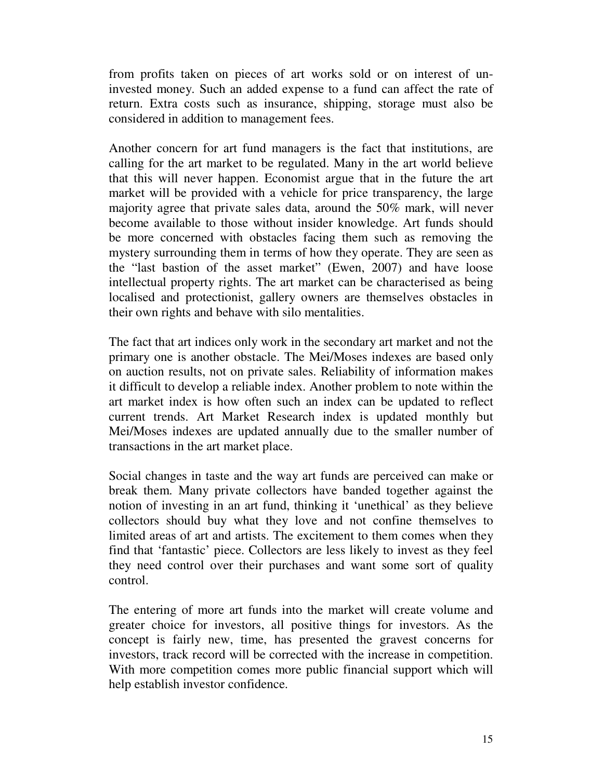from profits taken on pieces of art works sold or on interest of uninvested money. Such an added expense to a fund can affect the rate of return. Extra costs such as insurance, shipping, storage must also be considered in addition to management fees.

Another concern for art fund managers is the fact that institutions, are calling for the art market to be regulated. Many in the art world believe that this will never happen. Economist argue that in the future the art market will be provided with a vehicle for price transparency, the large majority agree that private sales data, around the 50% mark, will never become available to those without insider knowledge. Art funds should be more concerned with obstacles facing them such as removing the mystery surrounding them in terms of how they operate. They are seen as the "last bastion of the asset market" (Ewen, 2007) and have loose intellectual property rights. The art market can be characterised as being localised and protectionist, gallery owners are themselves obstacles in their own rights and behave with silo mentalities.

The fact that art indices only work in the secondary art market and not the primary one is another obstacle. The Mei/Moses indexes are based only on auction results, not on private sales. Reliability of information makes it difficult to develop a reliable index. Another problem to note within the art market index is how often such an index can be updated to reflect current trends. Art Market Research index is updated monthly but Mei/Moses indexes are updated annually due to the smaller number of transactions in the art market place.

Social changes in taste and the way art funds are perceived can make or break them. Many private collectors have banded together against the notion of investing in an art fund, thinking it 'unethical' as they believe collectors should buy what they love and not confine themselves to limited areas of art and artists. The excitement to them comes when they find that 'fantastic' piece. Collectors are less likely to invest as they feel they need control over their purchases and want some sort of quality control.

The entering of more art funds into the market will create volume and greater choice for investors, all positive things for investors. As the concept is fairly new, time, has presented the gravest concerns for investors, track record will be corrected with the increase in competition. With more competition comes more public financial support which will help establish investor confidence.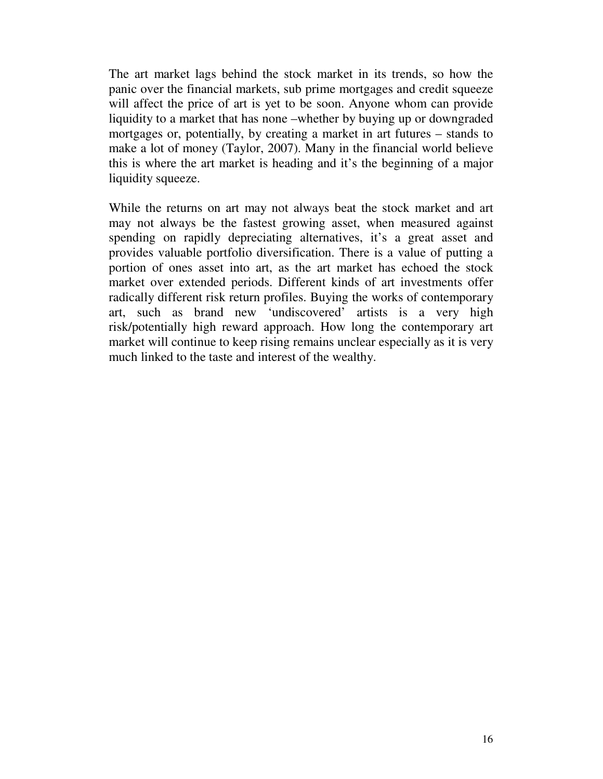The art market lags behind the stock market in its trends, so how the panic over the financial markets, sub prime mortgages and credit squeeze will affect the price of art is yet to be soon. Anyone whom can provide liquidity to a market that has none –whether by buying up or downgraded mortgages or, potentially, by creating a market in art futures – stands to make a lot of money (Taylor, 2007). Many in the financial world believe this is where the art market is heading and it's the beginning of a major liquidity squeeze.

While the returns on art may not always beat the stock market and art may not always be the fastest growing asset, when measured against spending on rapidly depreciating alternatives, it's a great asset and provides valuable portfolio diversification. There is a value of putting a portion of ones asset into art, as the art market has echoed the stock market over extended periods. Different kinds of art investments offer radically different risk return profiles. Buying the works of contemporary art, such as brand new 'undiscovered' artists is a very high risk/potentially high reward approach. How long the contemporary art market will continue to keep rising remains unclear especially as it is very much linked to the taste and interest of the wealthy.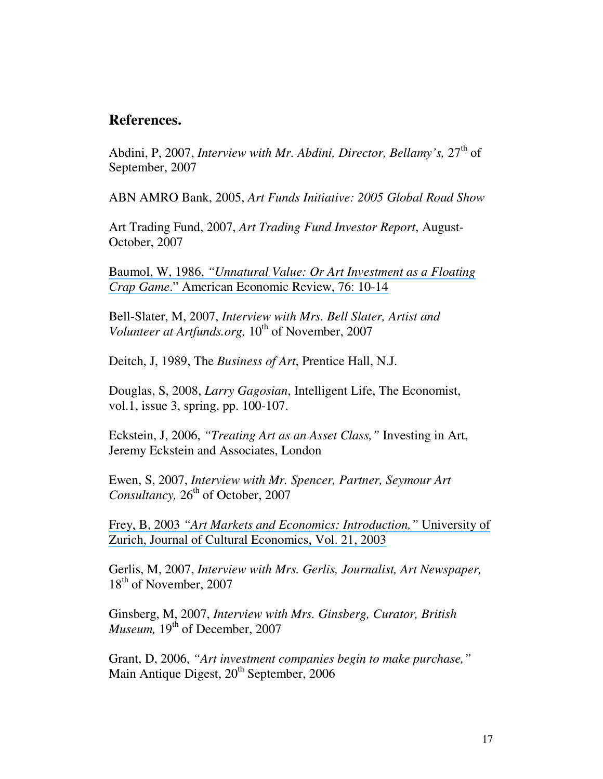#### **References.**

Abdini, P, 2007, *Interview with Mr. Abdini, Director, Bellamy's*, 27<sup>th</sup> of September, 2007

ABN AMRO Bank, 2005, *Art Funds Initiative: 2005 Global Road Show* 

Art Trading Fund, 2007, *Art Trading Fund Investor Report*, August-October, 2007

Baumol, W, 1986, *["Unnatural Value: Or Art Investment as a Floating](https://www.researchgate.net/publication/4720497_Unnatural_Value_Or_Art_Investment_as_Floating_Crap_Game?el=1_x_8&enrichId=rgreq-1e577973cba7411db461a52d781d6654-XXX&enrichSource=Y292ZXJQYWdlOzIyODIyNTIxNTtBUzoxMDE3OTIyMTgwOTE1MjJAMTQwMTI4MDU2NDMzMQ==) Crap Game*[." American Economic Review, 76: 10-14](https://www.researchgate.net/publication/4720497_Unnatural_Value_Or_Art_Investment_as_Floating_Crap_Game?el=1_x_8&enrichId=rgreq-1e577973cba7411db461a52d781d6654-XXX&enrichSource=Y292ZXJQYWdlOzIyODIyNTIxNTtBUzoxMDE3OTIyMTgwOTE1MjJAMTQwMTI4MDU2NDMzMQ==)

Bell-Slater, M, 2007, *Interview with Mrs. Bell Slater, Artist and Volunteer at Artfunds.org,* 10<sup>th</sup> of November, 2007

Deitch, J, 1989, The *Business of Art*, Prentice Hall, N.J.

Douglas, S, 2008, *Larry Gagosian*, Intelligent Life, The Economist, vol.1, issue 3, spring, pp. 100-107.

Eckstein, J, 2006, *"Treating Art as an Asset Class,"* Investing in Art, Jeremy Eckstein and Associates, London

Ewen, S, 2007, *Interview with Mr. Spencer, Partner, Seymour Art Consultancy,*  $26^{th}$  of October, 2007

Frey, B, 2003 *["Art Markets and Economics: Introduction,"](https://www.researchgate.net/publication/262865284_Art_Markets_and_Economics_Introduction?el=1_x_8&enrichId=rgreq-1e577973cba7411db461a52d781d6654-XXX&enrichSource=Y292ZXJQYWdlOzIyODIyNTIxNTtBUzoxMDE3OTIyMTgwOTE1MjJAMTQwMTI4MDU2NDMzMQ==)* University of [Zurich, Journal of Cultural Economics, Vol. 21, 2003](https://www.researchgate.net/publication/262865284_Art_Markets_and_Economics_Introduction?el=1_x_8&enrichId=rgreq-1e577973cba7411db461a52d781d6654-XXX&enrichSource=Y292ZXJQYWdlOzIyODIyNTIxNTtBUzoxMDE3OTIyMTgwOTE1MjJAMTQwMTI4MDU2NDMzMQ==) 

Gerlis, M, 2007, *Interview with Mrs. Gerlis, Journalist, Art Newspaper,*  18<sup>th</sup> of November, 2007

Ginsberg, M, 2007, *Interview with Mrs. Ginsberg, Curator, British Museum*, 19<sup>th</sup> of December, 2007

Grant, D, 2006, *"Art investment companies begin to make purchase,"* Main Antique Digest, 20<sup>th</sup> September, 2006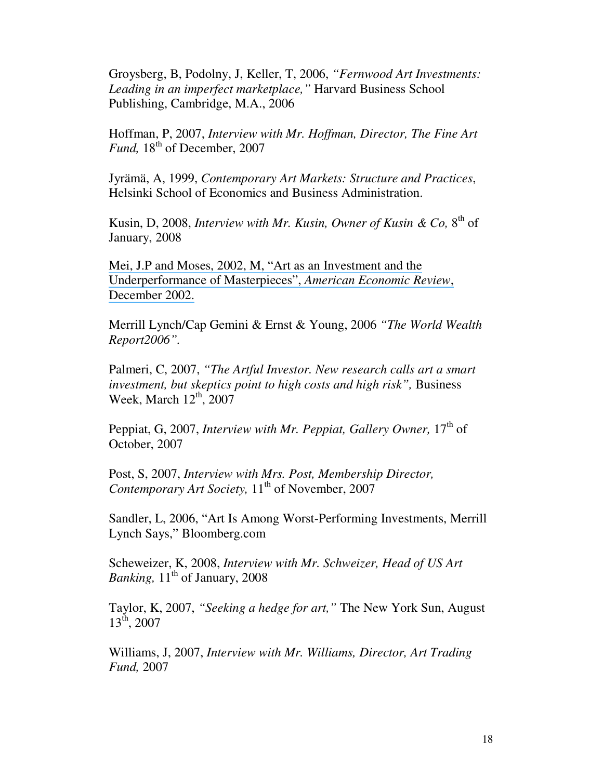Groysberg, B, Podolny, J, Keller, T, 2006, *"Fernwood Art Investments: Leading in an imperfect marketplace,"* Harvard Business School Publishing, Cambridge, M.A., 2006

Hoffman, P, 2007, *Interview with Mr. Hoffman, Director, The Fine Art Fund*,  $18<sup>th</sup>$  of December, 2007

Jyrämä, A, 1999, *Contemporary Art Markets: Structure and Practices*, Helsinki School of Economics and Business Administration.

Kusin, D, 2008, *Interview with Mr. Kusin, Owner of Kusin & Co,* 8<sup>th</sup> of January, 2008

[Mei, J.P and Moses, 2002, M, "Art as an Investment and the](https://www.researchgate.net/publication/4726944_Art_as_an_Investment_and_the_Underperformance_of_Masterpieces?el=1_x_8&enrichId=rgreq-1e577973cba7411db461a52d781d6654-XXX&enrichSource=Y292ZXJQYWdlOzIyODIyNTIxNTtBUzoxMDE3OTIyMTgwOTE1MjJAMTQwMTI4MDU2NDMzMQ==)  [Underperformance of Masterpieces",](https://www.researchgate.net/publication/4726944_Art_as_an_Investment_and_the_Underperformance_of_Masterpieces?el=1_x_8&enrichId=rgreq-1e577973cba7411db461a52d781d6654-XXX&enrichSource=Y292ZXJQYWdlOzIyODIyNTIxNTtBUzoxMDE3OTIyMTgwOTE1MjJAMTQwMTI4MDU2NDMzMQ==) *American Economic Review*, [December 2002.](https://www.researchgate.net/publication/4726944_Art_as_an_Investment_and_the_Underperformance_of_Masterpieces?el=1_x_8&enrichId=rgreq-1e577973cba7411db461a52d781d6654-XXX&enrichSource=Y292ZXJQYWdlOzIyODIyNTIxNTtBUzoxMDE3OTIyMTgwOTE1MjJAMTQwMTI4MDU2NDMzMQ==) 

Merrill Lynch/Cap Gemini & Ernst & Young, 2006 *"The World Wealth Report2006".* 

Palmeri, C, 2007, *"The Artful Investor. New research calls art a smart investment, but skeptics point to high costs and high risk",* Business Week, March  $12<sup>th</sup>$ , 2007

Peppiat, G, 2007, *Interview with Mr. Peppiat, Gallery Owner*, 17<sup>th</sup> of October, 2007

Post, S, 2007, *Interview with Mrs. Post, Membership Director, Contemporary Art Society,* 11<sup>th</sup> of November, 2007

Sandler, L, 2006, "Art Is Among Worst-Performing Investments, Merrill Lynch Says," Bloomberg.com

Scheweizer, K, 2008, *Interview with Mr. Schweizer, Head of US Art Banking*, 11<sup>th</sup> of January, 2008

Taylor, K, 2007, *"Seeking a hedge for art,"* The New York Sun, August  $13^{\text{th}}$ , 2007

Williams, J, 2007, *Interview with Mr. Williams, Director, Art Trading Fund,* 2007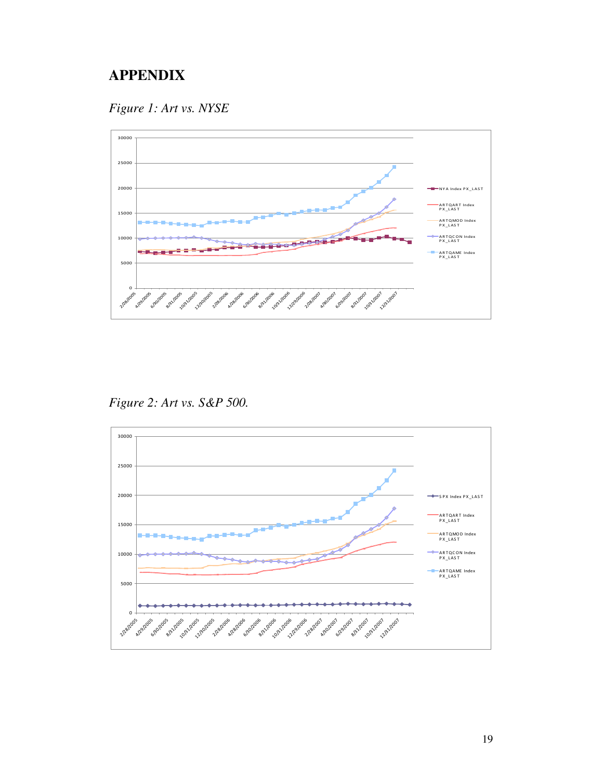### **APPENDIX**

*Figure 1: Art vs. NYSE*



*Figure 2: Art vs. S&P 500.*

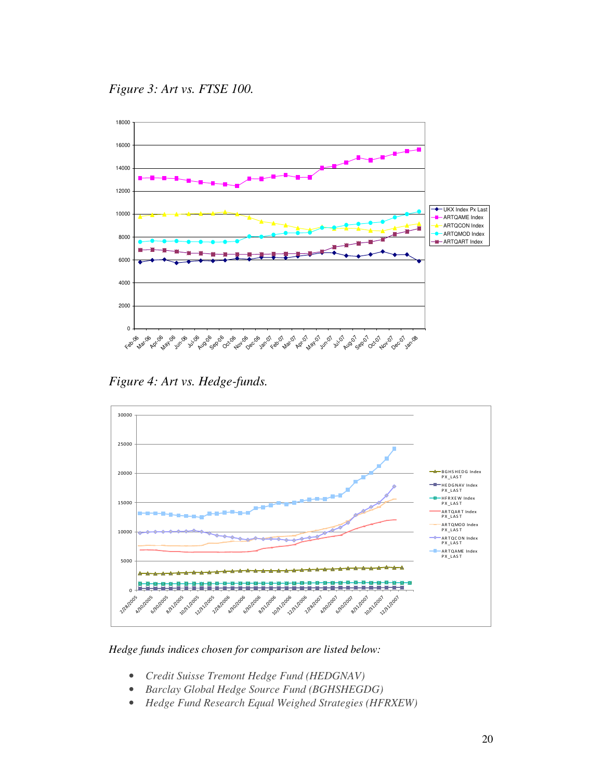*Figure 3: Art vs. FTSE 100.* 



*Figure 4: Art vs. Hedge-funds.* 



*Hedge funds indices chosen for comparison are listed below:* 

- *Credit Suisse Tremont Hedge Fund (HEDGNAV)*
- *Barclay Global Hedge Source Fund (BGHSHEGDG)*
- *Hedge Fund Research Equal Weighed Strategies (HFRXEW)*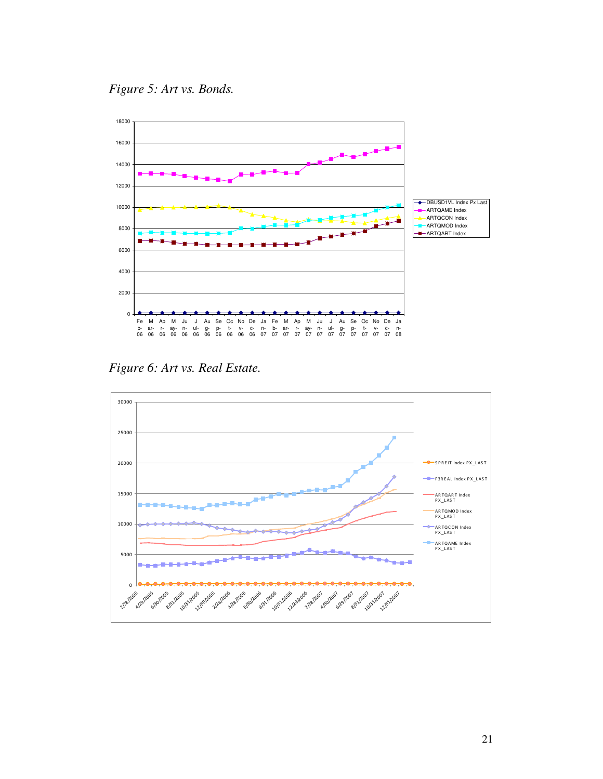*Figure 5: Art vs. Bonds.* 



*Figure 6: Art vs. Real Estate.*